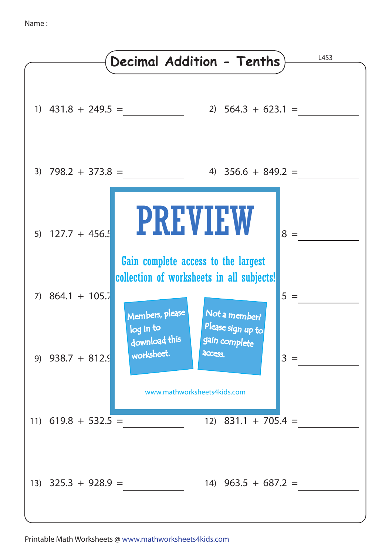